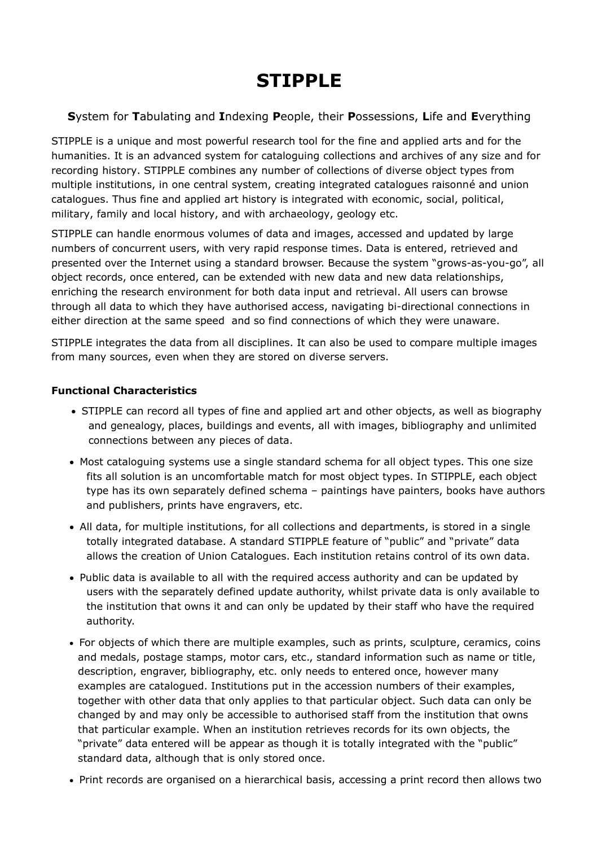# **STIPPLE**

## **S**ystem for **T**abulating and **I**ndexing **P**eople, their **P**ossessions, **L**ife and **E**verything

STIPPLE is a unique and most powerful research tool for the fine and applied arts and for the humanities. It is an advanced system for cataloguing collections and archives of any size and for recording history. STIPPLE combines any number of collections of diverse object types from multiple institutions, in one central system, creating integrated catalogues raisonné and union catalogues. Thus fine and applied art history is integrated with economic, social, political, military, family and local history, and with archaeology, geology etc.

STIPPLE can handle enormous volumes of data and images, accessed and updated by large numbers of concurrent users, with very rapid response times. Data is entered, retrieved and presented over the Internet using a standard browser. Because the system "grows-as-you-go", all object records, once entered, can be extended with new data and new data relationships, enriching the research environment for both data input and retrieval. All users can browse through all data to which they have authorised access, navigating bi-directional connections in either direction at the same speed and so find connections of which they were unaware.

STIPPLE integrates the data from all disciplines. It can also be used to compare multiple images from many sources, even when they are stored on diverse servers.

### **Functional Characteristics**

- · STIPPLE can record all types of fine and applied art and other objects, as well as biography and genealogy, places, buildings and events, all with images, bibliography and unlimited connections between any pieces of data.
- · Most cataloguing systems use a single standard schema for all object types. This one size fits all solution is an uncomfortable match for most object types. In STIPPLE, each object type has its own separately defined schema – paintings have painters, books have authors and publishers, prints have engravers, etc.
- · All data, for multiple institutions, for all collections and departments, is stored in a single totally integrated database. A standard STIPPLE feature of "public" and "private" data allows the creation of Union Catalogues. Each institution retains control of its own data.
- · Public data is available to all with the required access authority and can be updated by users with the separately defined update authority, whilst private data is only available to the institution that owns it and can only be updated by their staff who have the required authority.
- · For objects of which there are multiple examples, such as prints, sculpture, ceramics, coins and medals, postage stamps, motor cars, etc., standard information such as name or title, description, engraver, bibliography, etc. only needs to entered once, however many examples are catalogued. Institutions put in the accession numbers of their examples, together with other data that only applies to that particular object. Such data can only be changed by and may only be accessible to authorised staff from the institution that owns that particular example. When an institution retrieves records for its own objects, the "private" data entered will be appear as though it is totally integrated with the "public" standard data, although that is only stored once.
- · Print records are organised on a hierarchical basis, accessing a print record then allows two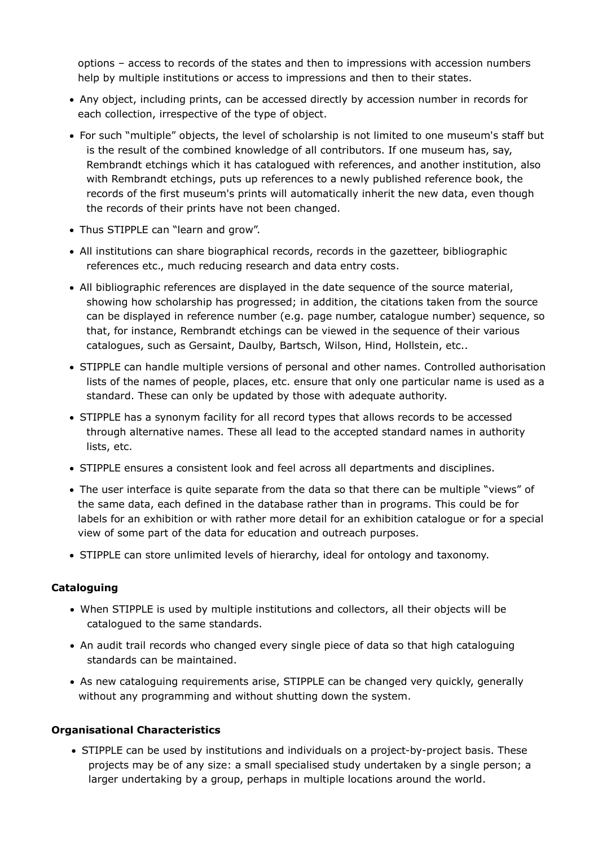options – access to records of the states and then to impressions with accession numbers help by multiple institutions or access to impressions and then to their states.

- · Any object, including prints, can be accessed directly by accession number in records for each collection, irrespective of the type of object.
- · For such "multiple" objects, the level of scholarship is not limited to one museum's staff but is the result of the combined knowledge of all contributors. If one museum has, say, Rembrandt etchings which it has catalogued with references, and another institution, also with Rembrandt etchings, puts up references to a newly published reference book, the records of the first museum's prints will automatically inherit the new data, even though the records of their prints have not been changed.
- · Thus STIPPLE can "learn and grow".
- · All institutions can share biographical records, records in the gazetteer, bibliographic references etc., much reducing research and data entry costs.
- · All bibliographic references are displayed in the date sequence of the source material, showing how scholarship has progressed; in addition, the citations taken from the source can be displayed in reference number (e.g. page number, catalogue number) sequence, so that, for instance, Rembrandt etchings can be viewed in the sequence of their various catalogues, such as Gersaint, Daulby, Bartsch, Wilson, Hind, Hollstein, etc..
- · STIPPLE can handle multiple versions of personal and other names. Controlled authorisation lists of the names of people, places, etc. ensure that only one particular name is used as a standard. These can only be updated by those with adequate authority.
- · STIPPLE has a synonym facility for all record types that allows records to be accessed through alternative names. These all lead to the accepted standard names in authority lists, etc.
- · STIPPLE ensures a consistent look and feel across all departments and disciplines.
- · The user interface is quite separate from the data so that there can be multiple "views" of the same data, each defined in the database rather than in programs. This could be for labels for an exhibition or with rather more detail for an exhibition catalogue or for a special view of some part of the data for education and outreach purposes.
- · STIPPLE can store unlimited levels of hierarchy, ideal for ontology and taxonomy.

## **Cataloguing**

- · When STIPPLE is used by multiple institutions and collectors, all their objects will be catalogued to the same standards.
- · An audit trail records who changed every single piece of data so that high cataloguing standards can be maintained.
- · As new cataloguing requirements arise, STIPPLE can be changed very quickly, generally without any programming and without shutting down the system.

### **Organisational Characteristics**

· STIPPLE can be used by institutions and individuals on a project-by-project basis. These projects may be of any size: a small specialised study undertaken by a single person; a larger undertaking by a group, perhaps in multiple locations around the world.